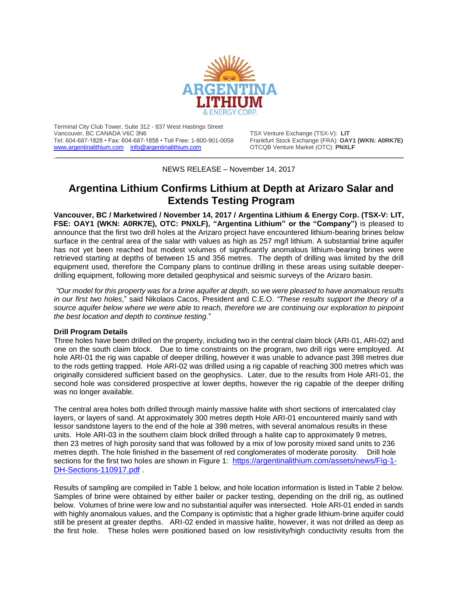

Terminal City Club Tower, Suite 312 - 837 West Hastings Street Tel: 604-687-1828 • Fax: 604-687-1858 • Toll Free: 1-800-901-0058 Frankfurt Stock Exchange (FRA): **OAY1** (WWW.argentinalithium.com info@argentinalithium.com **and Frankright COVING)** [www.argentinalithium.com](http://www.argentinalithium.com/) [info@argentinalithium.com](mailto:info@argentinalithium.com)

TSX Venture Exchange (TSX-V): LIT<br>Frankfurt Stock Exchange (FRA): **OAY1 (WKN: A0RK7E)** 

\_\_\_\_\_\_\_\_\_\_\_\_\_\_\_\_\_\_\_\_\_\_\_\_\_\_\_\_\_\_\_\_\_\_\_\_\_\_\_\_\_\_\_\_\_\_\_\_\_\_\_\_\_\_\_\_\_\_\_\_\_\_\_\_\_\_\_\_\_\_\_\_\_\_\_\_\_\_\_\_\_\_\_\_\_\_\_\_\_\_\_\_ NEWS RELEASE – November 14, 2017

# **Argentina Lithium Confirms Lithium at Depth at Arizaro Salar and Extends Testing Program**

**Vancouver, BC / Marketwired / November 14, 2017 / Argentina Lithium & Energy Corp. (TSX-V: LIT, FSE: OAY1 (WKN: A0RK7E), OTC: PNXLF), "Argentina Lithium" or the "Company")** is pleased to announce that the first two drill holes at the Arizaro project have encountered lithium-bearing brines below surface in the central area of the salar with values as high as 257 mg/l lithium. A substantial brine aquifer has not yet been reached but modest volumes of significantly anomalous lithium-bearing brines were retrieved starting at depths of between 15 and 356 metres. The depth of drilling was limited by the drill equipment used, therefore the Company plans to continue drilling in these areas using suitable deeperdrilling equipment, following more detailed geophysical and seismic surveys of the Arizaro basin.

*"Our model for this property was for a brine aquifer at depth, so we were pleased to have anomalous results in our first two holes,*" said Nikolaos Cacos, President and C.E.O. *"These results support the theory of a source aquifer below where we were able to reach, therefore we are continuing our exploration to pinpoint the best location and depth to continue testing.*"

#### **Drill Program Details**

Three holes have been drilled on the property, including two in the central claim block (ARI-01, ARI-02) and one on the south claim block. Due to time constraints on the program, two drill rigs were employed. At hole ARI-01 the rig was capable of deeper drilling, however it was unable to advance past 398 metres due to the rods getting trapped. Hole ARI-02 was drilled using a rig capable of reaching 300 metres which was originally considered sufficient based on the geophysics. Later, due to the results from Hole ARI-01, the second hole was considered prospective at lower depths, however the rig capable of the deeper drilling was no longer available.

The central area holes both drilled through mainly massive halite with short sections of intercalated clay layers, or layers of sand. At approximately 300 metres depth Hole ARI-01 encountered mainly sand with lessor sandstone layers to the end of the hole at 398 metres, with several anomalous results in these units. Hole ARI-03 in the southern claim block drilled through a halite cap to approximately 9 metres, then 23 metres of high porosity sand that was followed by a mix of low porosity mixed sand units to 236 metres depth. The hole finished in the basement of red conglomerates of moderate porosity. Drill hole sections for the first two holes are shown in Figure 1: [https://argentinalithium.com/assets/news/Fig-1-](https://argentinalithium.com/assets/news/Fig-1-DH-Sections-110917.pdf) [DH-Sections-110917.pdf](https://argentinalithium.com/assets/news/Fig-1-DH-Sections-110917.pdf) .

Results of sampling are compiled in Table 1 below, and hole location information is listed in Table 2 below. Samples of brine were obtained by either bailer or packer testing, depending on the drill rig, as outlined below. Volumes of brine were low and no substantial aquifer was intersected. Hole ARI-01 ended in sands with highly anomalous values, and the Company is optimistic that a higher grade lithium-brine aquifer could still be present at greater depths. ARI-02 ended in massive halite, however, it was not drilled as deep as the first hole. These holes were positioned based on low resistivity/high conductivity results from the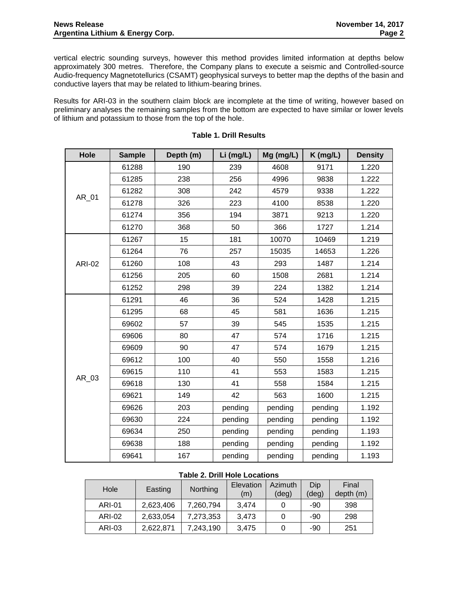vertical electric sounding surveys, however this method provides limited information at depths below approximately 300 metres. Therefore, the Company plans to execute a seismic and Controlled-source Audio-frequency Magnetotellurics (CSAMT) geophysical surveys to better map the depths of the basin and conductive layers that may be related to lithium-bearing brines.

Results for ARI-03 in the southern claim block are incomplete at the time of writing, however based on preliminary analyses the remaining samples from the bottom are expected to have similar or lower levels of lithium and potassium to those from the top of the hole.

| Hole          | <b>Sample</b> | Depth (m) | Li (mg/L) | Mg (mg/L) | $K$ (mg/L) | <b>Density</b> |
|---------------|---------------|-----------|-----------|-----------|------------|----------------|
| AR_01         | 61288         | 190       | 239       | 4608      | 9171       | 1.220          |
|               | 61285         | 238       | 256       | 4996      | 9838       | 1.222          |
|               | 61282         | 308       | 242       | 4579      | 9338       | 1.222          |
|               | 61278         | 326       | 223       | 4100      | 8538       | 1.220          |
|               | 61274         | 356       | 194       | 3871      | 9213       | 1.220          |
|               | 61270         | 368       | 50        | 366       | 1727       | 1.214          |
| <b>ARI-02</b> | 61267         | 15        | 181       | 10070     | 10469      | 1.219          |
|               | 61264         | 76        | 257       | 15035     | 14653      | 1.226          |
|               | 61260         | 108       | 43        | 293       | 1487       | 1.214          |
|               | 61256         | 205       | 60        | 1508      | 2681       | 1.214          |
|               | 61252         | 298       | 39        | 224       | 1382       | 1.214          |
| AR_03         | 61291         | 46        | 36        | 524       | 1428       | 1.215          |
|               | 61295         | 68        | 45        | 581       | 1636       | 1.215          |
|               | 69602         | 57        | 39        | 545       | 1535       | 1.215          |
|               | 69606         | 80        | 47        | 574       | 1716       | 1.215          |
|               | 69609         | 90        | 47        | 574       | 1679       | 1.215          |
|               | 69612         | 100       | 40        | 550       | 1558       | 1.216          |
|               | 69615         | 110       | 41        | 553       | 1583       | 1.215          |
|               | 69618         | 130       | 41        | 558       | 1584       | 1.215          |
|               | 69621         | 149       | 42        | 563       | 1600       | 1.215          |
|               | 69626         | 203       | pending   | pending   | pending    | 1.192          |
|               | 69630         | 224       | pending   | pending   | pending    | 1.192          |
|               | 69634         | 250       | pending   | pending   | pending    | 1.193          |
|               | 69638         | 188       | pending   | pending   | pending    | 1.192          |
|               | 69641         | 167       | pending   | pending   | pending    | 1.193          |

### **Table 1. Drill Results**

## **Table 2. Drill Hole Locations**

| Hole   | Easting   | Northing  | Elevation<br>(m) | Azimuth<br>$(\text{deg})$ | Dip<br>(deg) | Final<br>depth(m) |
|--------|-----------|-----------|------------------|---------------------------|--------------|-------------------|
| ARI-01 | 2,623,406 | 7,260,794 | 3.474            |                           | -90          | 398               |
| ARI-02 | 2,633,054 | 7,273,353 | 3.473            |                           | -90          | 298               |
| ARI-03 | 2,622,871 | 7,243,190 | 3,475            |                           | -90          | 251               |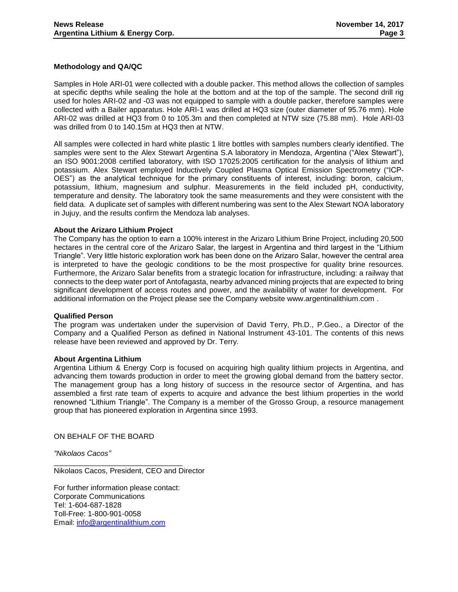#### **Methodology and QA/QC**

Samples in Hole ARI-01 were collected with a double packer. This method allows the collection of samples at specific depths while sealing the hole at the bottom and at the top of the sample. The second drill rig used for holes ARI-02 and -03 was not equipped to sample with a double packer, therefore samples were collected with a Bailer apparatus. Hole ARI-1 was drilled at HQ3 size (outer diameter of 95.76 mm). Hole ARI-02 was drilled at HQ3 from 0 to 105.3m and then completed at NTW size (75.88 mm). Hole ARI-03 was drilled from 0 to 140.15m at HQ3 then at NTW.

All samples were collected in hard white plastic 1 litre bottles with samples numbers clearly identified. The samples were sent to the Alex Stewart Argentina S.A laboratory in Mendoza, Argentina ("Alex Stewart"), an ISO 9001:2008 certified laboratory, with ISO 17025:2005 certification for the analysis of lithium and potassium. Alex Stewart employed Inductively Coupled Plasma Optical Emission Spectrometry ("ICP-OES") as the analytical technique for the primary constituents of interest, including: boron, calcium, potassium, lithium, magnesium and sulphur. Measurements in the field included pH, conductivity, temperature and density. The laboratory took the same measurements and they were consistent with the field data. A duplicate set of samples with different numbering was sent to the Alex Stewart NOA laboratory in Jujuy, and the results confirm the Mendoza lab analyses.

#### **About the Arizaro Lithium Project**

The Company has the option to earn a 100% interest in the Arizaro Lithium Brine Project, including 20,500 hectares in the central core of the Arizaro Salar, the largest in Argentina and third largest in the "Lithium Triangle". Very little historic exploration work has been done on the Arizaro Salar, however the central area is interpreted to have the geologic conditions to be the most prospective for quality brine resources. Furthermore, the Arizaro Salar benefits from a strategic location for infrastructure, including: a railway that connects to the deep water port of Antofagasta, nearby advanced mining projects that are expected to bring significant development of access routes and power, and the availability of water for development. For additional information on the Project please see the Company website www.argentinalithium.com .

#### **Qualified Person**

The program was undertaken under the supervision of David Terry, Ph.D., P.Geo., a Director of the Company and a Qualified Person as defined in National Instrument 43-101. The contents of this news release have been reviewed and approved by Dr. Terry.

#### **About Argentina Lithium**

Argentina Lithium & Energy Corp is focused on acquiring high quality lithium projects in Argentina, and advancing them towards production in order to meet the growing global demand from the battery sector. The management group has a long history of success in the resource sector of Argentina, and has assembled a first rate team of experts to acquire and advance the best lithium properties in the world renowned "Lithium Triangle". The Company is a member of the Grosso Group, a resource management group that has pioneered exploration in Argentina since 1993.

ON BEHALF OF THE BOARD

*"Nikolaos Cacos"*

Nikolaos Cacos, President, CEO and Director

For further information please contact: Corporate Communications Tel: 1-604-687-1828 Toll-Free: 1-800-901-0058 Email: [info@argentinalithium.com](mailto:info@argentinalithium.com)

\_\_\_\_\_\_\_\_\_\_\_\_\_\_\_\_\_\_\_\_\_\_\_\_\_\_\_\_\_\_\_